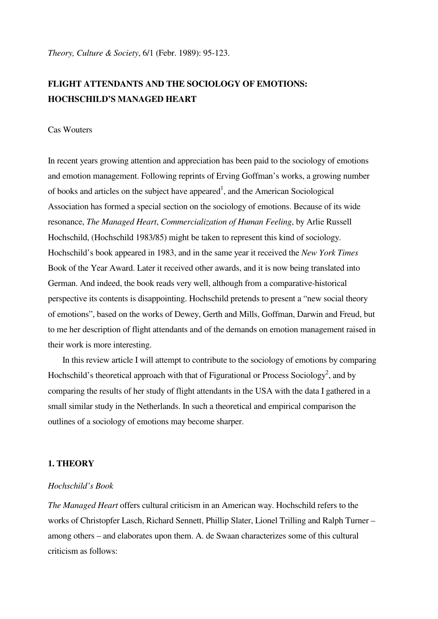*Theory, Culture & Society*, 6/1 (Febr. 1989): 95-123.

# **FLIGHT ATTENDANTS AND THE SOCIOLOGY OF EMOTIONS: HOCHSCHILD'S MANAGED HEART**

## Cas Wouters

In recent years growing attention and appreciation has been paid to the sociology of emotions and emotion management. Following reprints of Erving Goffman's works, a growing number of books and articles on the subject have appeared<sup>1</sup>, and the American Sociological Association has formed a special section on the sociology of emotions. Because of its wide resonance, *The Managed Heart*, *Commercialization of Human Feeling*, by Arlie Russell Hochschild, (Hochschild 1983/85) might be taken to represent this kind of sociology. Hochschild's book appeared in 1983, and in the same year it received the *New York Times* Book of the Year Award. Later it received other awards, and it is now being translated into German. And indeed, the book reads very well, although from a comparative-historical perspective its contents is disappointing. Hochschild pretends to present a "new social theory of emotions", based on the works of Dewey, Gerth and Mills, Goffman, Darwin and Freud, but to me her description of flight attendants and of the demands on emotion management raised in their work is more interesting.

 In this review article I will attempt to contribute to the sociology of emotions by comparing Hochschild's theoretical approach with that of Figurational or Process Sociology<sup>2</sup>, and by comparing the results of her study of flight attendants in the USA with the data I gathered in a small similar study in the Netherlands. In such a theoretical and empirical comparison the outlines of a sociology of emotions may become sharper.

## **1. THEORY**

#### *Hochschild's Book*

*The Managed Heart* offers cultural criticism in an American way. Hochschild refers to the works of Christopfer Lasch, Richard Sennett, Phillip Slater, Lionel Trilling and Ralph Turner – among others – and elaborates upon them. A. de Swaan characterizes some of this cultural criticism as follows: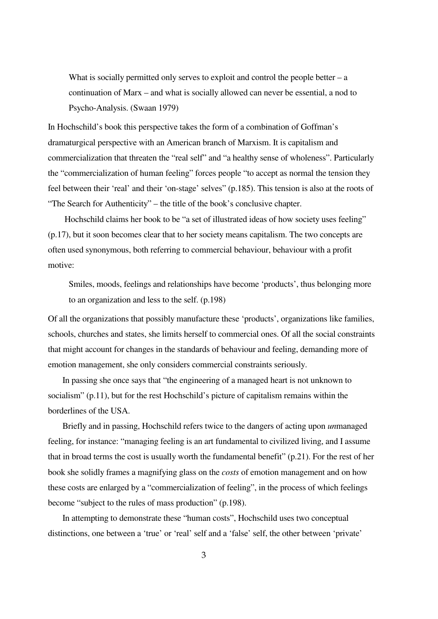What is socially permitted only serves to exploit and control the people better  $-$  a continuation of Marx – and what is socially allowed can never be essential, a nod to Psycho-Analysis. (Swaan 1979)

In Hochschild's book this perspective takes the form of a combination of Goffman's dramaturgical perspective with an American branch of Marxism. It is capitalism and commercialization that threaten the "real self" and "a healthy sense of wholeness". Particularly the "commercialization of human feeling" forces people "to accept as normal the tension they feel between their 'real' and their 'on-stage' selves'' (p.185). This tension is also at the roots of "The Search for Authenticity" – the title of the book's conclusive chapter.

 Hochschild claims her book to be "a set of illustrated ideas of how society uses feeling" (p.17), but it soon becomes clear that to her society means capitalism. The two concepts are often used synonymous, both referring to commercial behaviour, behaviour with a profit motive:

Smiles, moods, feelings and relationships have become 'products', thus belonging more to an organization and less to the self. (p.198)

Of all the organizations that possibly manufacture these 'products', organizations like families, schools, churches and states, she limits herself to commercial ones. Of all the social constraints that might account for changes in the standards of behaviour and feeling, demanding more of emotion management, she only considers commercial constraints seriously.

 In passing she once says that "the engineering of a managed heart is not unknown to socialism" (p.11), but for the rest Hochschild's picture of capitalism remains within the borderlines of the USA.

 Briefly and in passing, Hochschild refers twice to the dangers of acting upon *un*managed feeling, for instance: "managing feeling is an art fundamental to civilized living, and I assume that in broad terms the cost is usually worth the fundamental benefit" (p.21). For the rest of her book she solidly frames a magnifying glass on the *costs* of emotion management and on how these costs are enlarged by a "commercialization of feeling", in the process of which feelings become "subject to the rules of mass production" (p.198).

 In attempting to demonstrate these "human costs", Hochschild uses two conceptual distinctions, one between a 'true' or 'real' self and a 'false' self, the other between 'private'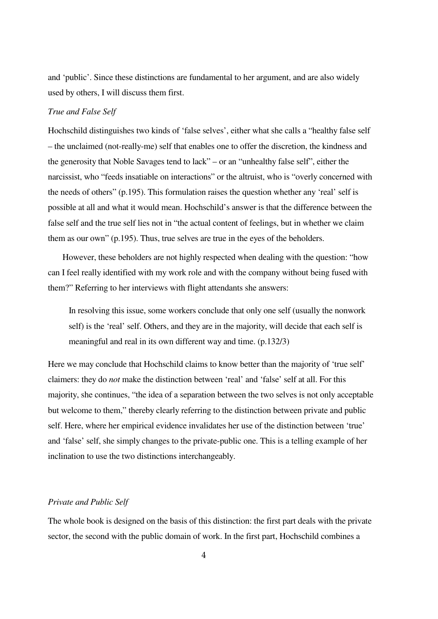and 'public'. Since these distinctions are fundamental to her argument, and are also widely used by others, I will discuss them first.

## *True and False Self*

Hochschild distinguishes two kinds of 'false selves', either what she calls a "healthy false self – the unclaimed (not-really-me) self that enables one to offer the discretion, the kindness and the generosity that Noble Savages tend to lack" – or an "unhealthy false self", either the narcissist, who "feeds insatiable on interactions" or the altruist, who is "overly concerned with the needs of others" (p.195). This formulation raises the question whether any 'real' self is possible at all and what it would mean. Hochschild's answer is that the difference between the false self and the true self lies not in "the actual content of feelings, but in whether we claim them as our own" (p.195). Thus, true selves are true in the eyes of the beholders.

 However, these beholders are not highly respected when dealing with the question: "how can I feel really identified with my work role and with the company without being fused with them?" Referring to her interviews with flight attendants she answers:

In resolving this issue, some workers conclude that only one self (usually the nonwork self) is the 'real' self. Others, and they are in the majority, will decide that each self is meaningful and real in its own different way and time. (p.132/3)

Here we may conclude that Hochschild claims to know better than the majority of 'true self' claimers: they do *not* make the distinction between 'real' and 'false' self at all. For this majority, she continues, "the idea of a separation between the two selves is not only acceptable but welcome to them," thereby clearly referring to the distinction between private and public self. Here, where her empirical evidence invalidates her use of the distinction between 'true' and 'false' self, she simply changes to the private-public one. This is a telling example of her inclination to use the two distinctions interchangeably.

## *Private and Public Self*

The whole book is designed on the basis of this distinction: the first part deals with the private sector, the second with the public domain of work. In the first part, Hochschild combines a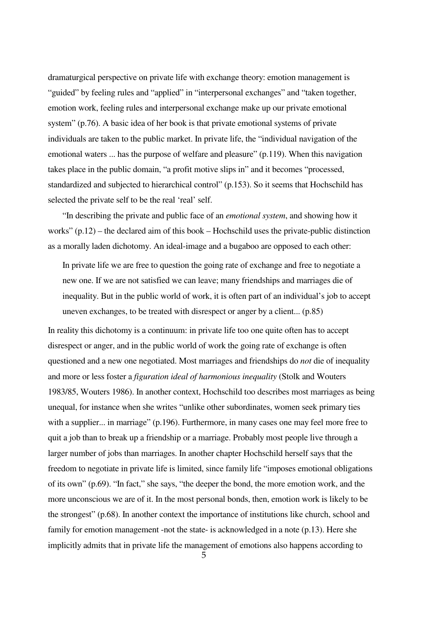dramaturgical perspective on private life with exchange theory: emotion management is "guided" by feeling rules and "applied" in "interpersonal exchanges" and "taken together, emotion work, feeling rules and interpersonal exchange make up our private emotional system" (p.76). A basic idea of her book is that private emotional systems of private individuals are taken to the public market. In private life, the "individual navigation of the emotional waters ... has the purpose of welfare and pleasure" (p.119). When this navigation takes place in the public domain, "a profit motive slips in" and it becomes "processed, standardized and subjected to hierarchical control" (p.153). So it seems that Hochschild has selected the private self to be the real 'real' self.

 "In describing the private and public face of an *emotional system*, and showing how it works" (p.12) – the declared aim of this book – Hochschild uses the private-public distinction as a morally laden dichotomy. An ideal-image and a bugaboo are opposed to each other:

In private life we are free to question the going rate of exchange and free to negotiate a new one. If we are not satisfied we can leave; many friendships and marriages die of inequality. But in the public world of work, it is often part of an individual's job to accept uneven exchanges, to be treated with disrespect or anger by a client... (p.85)

In reality this dichotomy is a continuum: in private life too one quite often has to accept disrespect or anger, and in the public world of work the going rate of exchange is often questioned and a new one negotiated. Most marriages and friendships do *not* die of inequality and more or less foster a *figuration ideal of harmonious inequality* (Stolk and Wouters 1983/85, Wouters 1986). In another context, Hochschild too describes most marriages as being unequal, for instance when she writes "unlike other subordinates, women seek primary ties with a supplier... in marriage" (p.196). Furthermore, in many cases one may feel more free to quit a job than to break up a friendship or a marriage. Probably most people live through a larger number of jobs than marriages. In another chapter Hochschild herself says that the freedom to negotiate in private life is limited, since family life "imposes emotional obligations of its own" (p.69). "In fact," she says, "the deeper the bond, the more emotion work, and the more unconscious we are of it. In the most personal bonds, then, emotion work is likely to be the strongest" (p.68). In another context the importance of institutions like church, school and family for emotion management -not the state- is acknowledged in a note (p.13). Here she implicitly admits that in private life the management of emotions also happens according to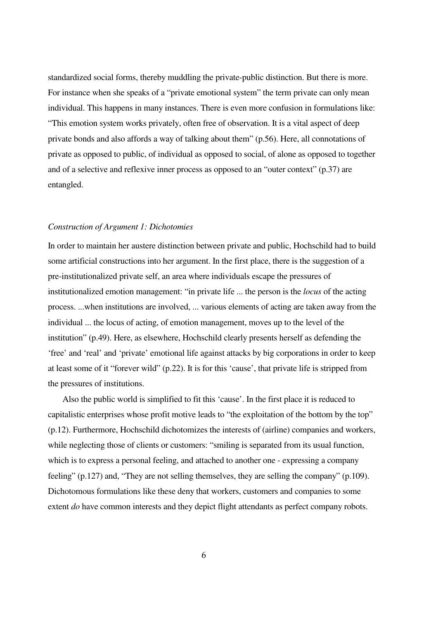standardized social forms, thereby muddling the private-public distinction. But there is more. For instance when she speaks of a "private emotional system" the term private can only mean individual. This happens in many instances. There is even more confusion in formulations like: "This emotion system works privately, often free of observation. It is a vital aspect of deep private bonds and also affords a way of talking about them" (p.56). Here, all connotations of private as opposed to public, of individual as opposed to social, of alone as opposed to together and of a selective and reflexive inner process as opposed to an "outer context" (p.37) are entangled.

#### *Construction of Argument 1: Dichotomies*

In order to maintain her austere distinction between private and public, Hochschild had to build some artificial constructions into her argument. In the first place, there is the suggestion of a pre-institutionalized private self, an area where individuals escape the pressures of institutionalized emotion management: "in private life ... the person is the *locus* of the acting process. ...when institutions are involved, ... various elements of acting are taken away from the individual ... the locus of acting, of emotion management, moves up to the level of the institution" (p.49). Here, as elsewhere, Hochschild clearly presents herself as defending the 'free' and 'real' and 'private' emotional life against attacks by big corporations in order to keep at least some of it "forever wild" (p.22). It is for this 'cause', that private life is stripped from the pressures of institutions.

 Also the public world is simplified to fit this 'cause'. In the first place it is reduced to capitalistic enterprises whose profit motive leads to "the exploitation of the bottom by the top" (p.12). Furthermore, Hochschild dichotomizes the interests of (airline) companies and workers, while neglecting those of clients or customers: "smiling is separated from its usual function, which is to express a personal feeling, and attached to another one - expressing a company feeling" (p.127) and, "They are not selling themselves, they are selling the company" (p.109). Dichotomous formulations like these deny that workers, customers and companies to some extent *do* have common interests and they depict flight attendants as perfect company robots.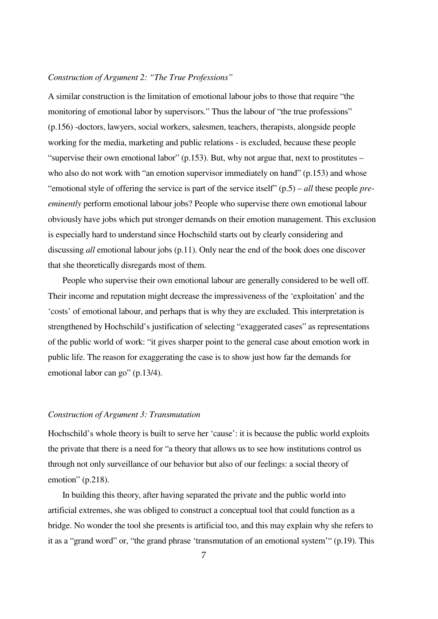## *Construction of Argument 2: "The True Professions"*

A similar construction is the limitation of emotional labour jobs to those that require "the monitoring of emotional labor by supervisors." Thus the labour of "the true professions" (p.156) -doctors, lawyers, social workers, salesmen, teachers, therapists, alongside people working for the media, marketing and public relations - is excluded, because these people "supervise their own emotional labor" (p.153). But, why not argue that, next to prostitutes – who also do not work with "an emotion supervisor immediately on hand" (p.153) and whose "emotional style of offering the service is part of the service itself" (p.5) – *all* these people *preeminently* perform emotional labour jobs? People who supervise there own emotional labour obviously have jobs which put stronger demands on their emotion management. This exclusion is especially hard to understand since Hochschild starts out by clearly considering and discussing *all* emotional labour jobs (p.11). Only near the end of the book does one discover that she theoretically disregards most of them.

 People who supervise their own emotional labour are generally considered to be well off. Their income and reputation might decrease the impressiveness of the 'exploitation' and the 'costs' of emotional labour, and perhaps that is why they are excluded. This interpretation is strengthened by Hochschild's justification of selecting "exaggerated cases" as representations of the public world of work: "it gives sharper point to the general case about emotion work in public life. The reason for exaggerating the case is to show just how far the demands for emotional labor can go" (p.13/4).

#### *Construction of Argument 3: Transmutation*

Hochschild's whole theory is built to serve her 'cause': it is because the public world exploits the private that there is a need for "a theory that allows us to see how institutions control us through not only surveillance of our behavior but also of our feelings: a social theory of emotion" (p.218).

 In building this theory, after having separated the private and the public world into artificial extremes, she was obliged to construct a conceptual tool that could function as a bridge. No wonder the tool she presents is artificial too, and this may explain why she refers to it as a "grand word" or, "the grand phrase 'transmutation of an emotional system'" (p.19). This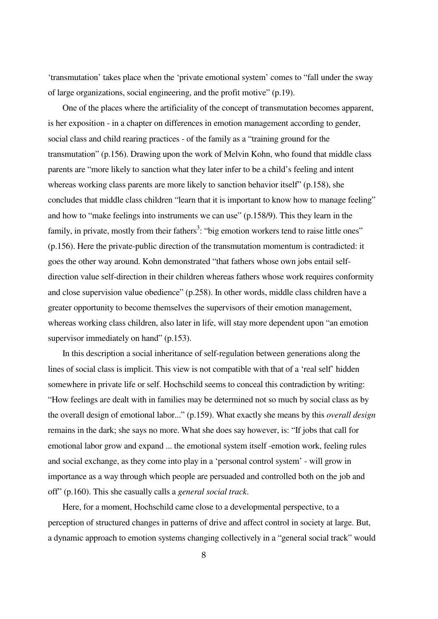'transmutation' takes place when the 'private emotional system' comes to "fall under the sway of large organizations, social engineering, and the profit motive" (p.19).

 One of the places where the artificiality of the concept of transmutation becomes apparent, is her exposition - in a chapter on differences in emotion management according to gender, social class and child rearing practices - of the family as a "training ground for the transmutation" (p.156). Drawing upon the work of Melvin Kohn, who found that middle class parents are "more likely to sanction what they later infer to be a child's feeling and intent whereas working class parents are more likely to sanction behavior itself" (p.158), she concludes that middle class children "learn that it is important to know how to manage feeling" and how to "make feelings into instruments we can use" (p.158/9). This they learn in the family, in private, mostly from their fathers<sup>3</sup>: "big emotion workers tend to raise little ones" (p.156). Here the private-public direction of the transmutation momentum is contradicted: it goes the other way around. Kohn demonstrated "that fathers whose own jobs entail selfdirection value self-direction in their children whereas fathers whose work requires conformity and close supervision value obedience" (p.258). In other words, middle class children have a greater opportunity to become themselves the supervisors of their emotion management, whereas working class children, also later in life, will stay more dependent upon "an emotion supervisor immediately on hand" (p.153).

 In this description a social inheritance of self-regulation between generations along the lines of social class is implicit. This view is not compatible with that of a 'real self' hidden somewhere in private life or self. Hochschild seems to conceal this contradiction by writing: "How feelings are dealt with in families may be determined not so much by social class as by the overall design of emotional labor..." (p.159). What exactly she means by this *overall design* remains in the dark; she says no more. What she does say however, is: "If jobs that call for emotional labor grow and expand ... the emotional system itself -emotion work, feeling rules and social exchange, as they come into play in a 'personal control system' - will grow in importance as a way through which people are persuaded and controlled both on the job and off" (p.160). This she casually calls a *general social track*.

 Here, for a moment, Hochschild came close to a developmental perspective, to a perception of structured changes in patterns of drive and affect control in society at large. But, a dynamic approach to emotion systems changing collectively in a "general social track" would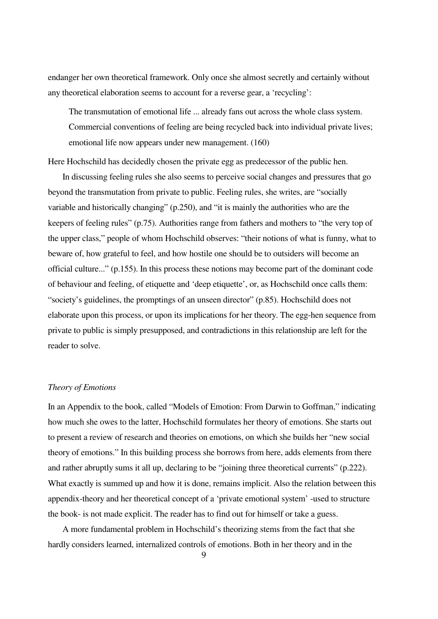endanger her own theoretical framework. Only once she almost secretly and certainly without any theoretical elaboration seems to account for a reverse gear, a 'recycling':

The transmutation of emotional life ... already fans out across the whole class system. Commercial conventions of feeling are being recycled back into individual private lives; emotional life now appears under new management. (160)

Here Hochschild has decidedly chosen the private egg as predecessor of the public hen.

 In discussing feeling rules she also seems to perceive social changes and pressures that go beyond the transmutation from private to public. Feeling rules, she writes, are "socially variable and historically changing" (p.250), and "it is mainly the authorities who are the keepers of feeling rules" (p.75). Authorities range from fathers and mothers to "the very top of the upper class," people of whom Hochschild observes: "their notions of what is funny, what to beware of, how grateful to feel, and how hostile one should be to outsiders will become an official culture..." (p.155). In this process these notions may become part of the dominant code of behaviour and feeling, of etiquette and 'deep etiquette', or, as Hochschild once calls them: "society's guidelines, the promptings of an unseen director" (p.85). Hochschild does not elaborate upon this process, or upon its implications for her theory. The egg-hen sequence from private to public is simply presupposed, and contradictions in this relationship are left for the reader to solve.

## *Theory of Emotions*

In an Appendix to the book, called "Models of Emotion: From Darwin to Goffman," indicating how much she owes to the latter, Hochschild formulates her theory of emotions. She starts out to present a review of research and theories on emotions, on which she builds her "new social theory of emotions." In this building process she borrows from here, adds elements from there and rather abruptly sums it all up, declaring to be "joining three theoretical currents" (p.222). What exactly is summed up and how it is done, remains implicit. Also the relation between this appendix-theory and her theoretical concept of a 'private emotional system' -used to structure the book- is not made explicit. The reader has to find out for himself or take a guess.

 A more fundamental problem in Hochschild's theorizing stems from the fact that she hardly considers learned, internalized controls of emotions. Both in her theory and in the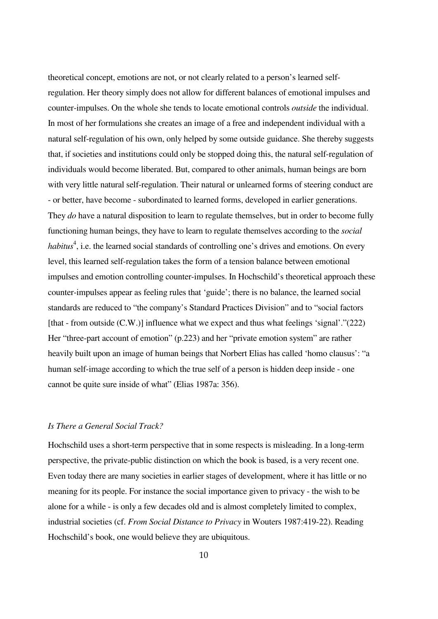theoretical concept, emotions are not, or not clearly related to a person's learned selfregulation. Her theory simply does not allow for different balances of emotional impulses and counter-impulses. On the whole she tends to locate emotional controls *outside* the individual. In most of her formulations she creates an image of a free and independent individual with a natural self-regulation of his own, only helped by some outside guidance. She thereby suggests that, if societies and institutions could only be stopped doing this, the natural self-regulation of individuals would become liberated. But, compared to other animals, human beings are born with very little natural self-regulation. Their natural or unlearned forms of steering conduct are - or better, have become - subordinated to learned forms, developed in earlier generations. They *do* have a natural disposition to learn to regulate themselves, but in order to become fully functioning human beings, they have to learn to regulate themselves according to the *social*  habitus<sup>4</sup>, i.e. the learned social standards of controlling one's drives and emotions. On every level, this learned self-regulation takes the form of a tension balance between emotional impulses and emotion controlling counter-impulses. In Hochschild's theoretical approach these counter-impulses appear as feeling rules that 'guide'; there is no balance, the learned social standards are reduced to "the company's Standard Practices Division" and to "social factors [that - from outside (C.W.)] influence what we expect and thus what feelings 'signal'."(222) Her "three-part account of emotion" (p.223) and her "private emotion system" are rather heavily built upon an image of human beings that Norbert Elias has called 'homo clausus': "a human self-image according to which the true self of a person is hidden deep inside - one cannot be quite sure inside of what" (Elias 1987a: 356).

## *Is There a General Social Track?*

Hochschild uses a short-term perspective that in some respects is misleading. In a long-term perspective, the private-public distinction on which the book is based, is a very recent one. Even today there are many societies in earlier stages of development, where it has little or no meaning for its people. For instance the social importance given to privacy - the wish to be alone for a while - is only a few decades old and is almost completely limited to complex, industrial societies (cf. *From Social Distance to Privacy* in Wouters 1987:419-22). Reading Hochschild's book, one would believe they are ubiquitous.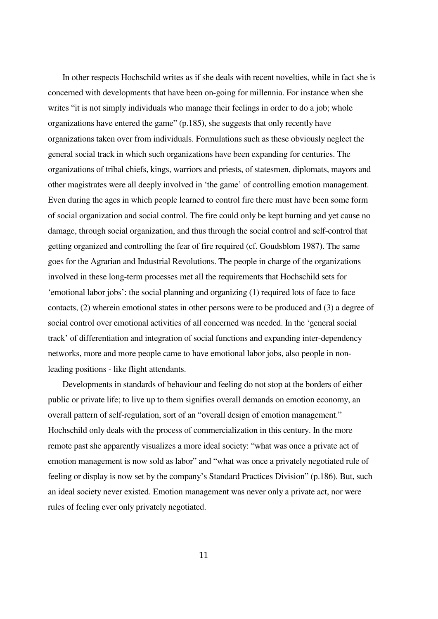In other respects Hochschild writes as if she deals with recent novelties, while in fact she is concerned with developments that have been on-going for millennia. For instance when she writes "it is not simply individuals who manage their feelings in order to do a job; whole organizations have entered the game" (p.185), she suggests that only recently have organizations taken over from individuals. Formulations such as these obviously neglect the general social track in which such organizations have been expanding for centuries. The organizations of tribal chiefs, kings, warriors and priests, of statesmen, diplomats, mayors and other magistrates were all deeply involved in 'the game' of controlling emotion management. Even during the ages in which people learned to control fire there must have been some form of social organization and social control. The fire could only be kept burning and yet cause no damage, through social organization, and thus through the social control and self-control that getting organized and controlling the fear of fire required (cf. Goudsblom 1987). The same goes for the Agrarian and Industrial Revolutions. The people in charge of the organizations involved in these long-term processes met all the requirements that Hochschild sets for 'emotional labor jobs': the social planning and organizing (1) required lots of face to face contacts, (2) wherein emotional states in other persons were to be produced and (3) a degree of social control over emotional activities of all concerned was needed. In the 'general social track' of differentiation and integration of social functions and expanding inter-dependency networks, more and more people came to have emotional labor jobs, also people in nonleading positions - like flight attendants.

 Developments in standards of behaviour and feeling do not stop at the borders of either public or private life; to live up to them signifies overall demands on emotion economy, an overall pattern of self-regulation, sort of an "overall design of emotion management." Hochschild only deals with the process of commercialization in this century. In the more remote past she apparently visualizes a more ideal society: "what was once a private act of emotion management is now sold as labor" and "what was once a privately negotiated rule of feeling or display is now set by the company's Standard Practices Division" (p.186). But, such an ideal society never existed. Emotion management was never only a private act, nor were rules of feeling ever only privately negotiated.

11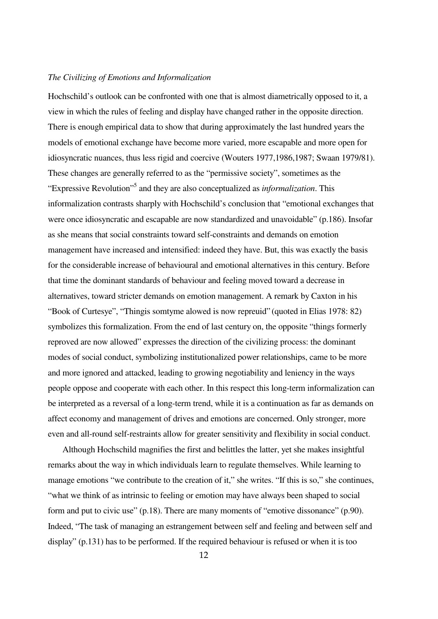## *The Civilizing of Emotions and Informalization*

Hochschild's outlook can be confronted with one that is almost diametrically opposed to it, a view in which the rules of feeling and display have changed rather in the opposite direction. There is enough empirical data to show that during approximately the last hundred years the models of emotional exchange have become more varied, more escapable and more open for idiosyncratic nuances, thus less rigid and coercive (Wouters 1977,1986,1987; Swaan 1979/81). These changes are generally referred to as the "permissive society", sometimes as the "Expressive Revolution"<sup>5</sup> and they are also conceptualized as *informalization*. This informalization contrasts sharply with Hochschild's conclusion that "emotional exchanges that were once idiosyncratic and escapable are now standardized and unavoidable" (p.186). Insofar as she means that social constraints toward self-constraints and demands on emotion management have increased and intensified: indeed they have. But, this was exactly the basis for the considerable increase of behavioural and emotional alternatives in this century. Before that time the dominant standards of behaviour and feeling moved toward a decrease in alternatives, toward stricter demands on emotion management. A remark by Caxton in his "Book of Curtesye", "Thingis somtyme alowed is now repreuid" (quoted in Elias 1978: 82) symbolizes this formalization. From the end of last century on, the opposite "things formerly reproved are now allowed" expresses the direction of the civilizing process: the dominant modes of social conduct, symbolizing institutionalized power relationships, came to be more and more ignored and attacked, leading to growing negotiability and leniency in the ways people oppose and cooperate with each other. In this respect this long-term informalization can be interpreted as a reversal of a long-term trend, while it is a continuation as far as demands on affect economy and management of drives and emotions are concerned. Only stronger, more even and all-round self-restraints allow for greater sensitivity and flexibility in social conduct.

 Although Hochschild magnifies the first and belittles the latter, yet she makes insightful remarks about the way in which individuals learn to regulate themselves. While learning to manage emotions "we contribute to the creation of it," she writes. "If this is so," she continues, "what we think of as intrinsic to feeling or emotion may have always been shaped to social form and put to civic use" (p.18). There are many moments of "emotive dissonance" (p.90). Indeed, "The task of managing an estrangement between self and feeling and between self and display" (p.131) has to be performed. If the required behaviour is refused or when it is too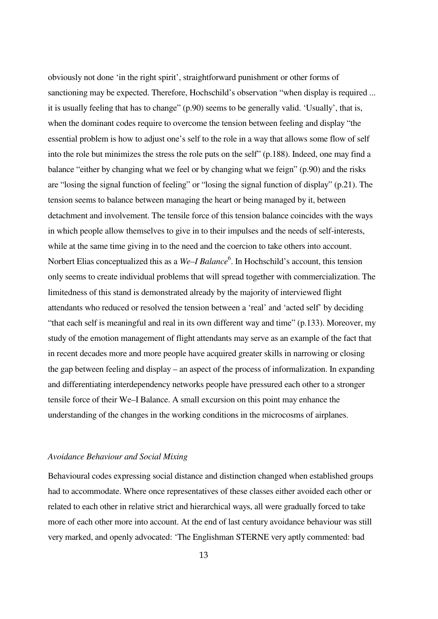obviously not done 'in the right spirit', straightforward punishment or other forms of sanctioning may be expected. Therefore, Hochschild's observation "when display is required ... it is usually feeling that has to change" (p.90) seems to be generally valid. 'Usually', that is, when the dominant codes require to overcome the tension between feeling and display "the essential problem is how to adjust one's self to the role in a way that allows some flow of self into the role but minimizes the stress the role puts on the self" (p.188). Indeed, one may find a balance "either by changing what we feel or by changing what we feign" (p.90) and the risks are "losing the signal function of feeling" or "losing the signal function of display" (p.21). The tension seems to balance between managing the heart or being managed by it, between detachment and involvement. The tensile force of this tension balance coincides with the ways in which people allow themselves to give in to their impulses and the needs of self-interests, while at the same time giving in to the need and the coercion to take others into account. Norbert Elias conceptualized this as a We–*I Balance*<sup>6</sup>. In Hochschild's account, this tension only seems to create individual problems that will spread together with commercialization. The limitedness of this stand is demonstrated already by the majority of interviewed flight attendants who reduced or resolved the tension between a 'real' and 'acted self' by deciding "that each self is meaningful and real in its own different way and time" (p.133). Moreover, my study of the emotion management of flight attendants may serve as an example of the fact that in recent decades more and more people have acquired greater skills in narrowing or closing the gap between feeling and display – an aspect of the process of informalization. In expanding and differentiating interdependency networks people have pressured each other to a stronger tensile force of their We–I Balance. A small excursion on this point may enhance the understanding of the changes in the working conditions in the microcosms of airplanes.

## *Avoidance Behaviour and Social Mixing*

Behavioural codes expressing social distance and distinction changed when established groups had to accommodate. Where once representatives of these classes either avoided each other or related to each other in relative strict and hierarchical ways, all were gradually forced to take more of each other more into account. At the end of last century avoidance behaviour was still very marked, and openly advocated: 'The Englishman STERNE very aptly commented: bad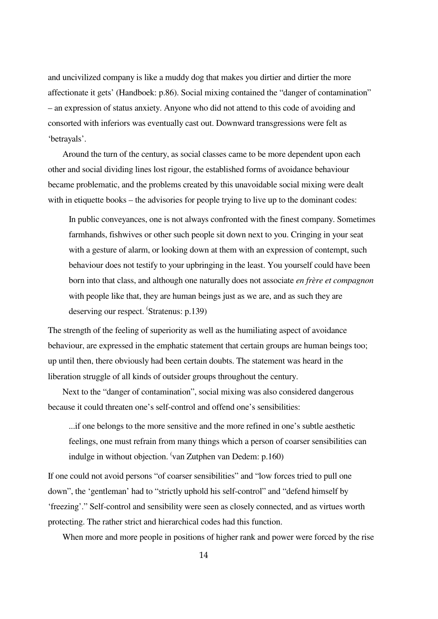and uncivilized company is like a muddy dog that makes you dirtier and dirtier the more affectionate it gets' (Handboek: p.86). Social mixing contained the "danger of contamination" – an expression of status anxiety. Anyone who did not attend to this code of avoiding and consorted with inferiors was eventually cast out. Downward transgressions were felt as 'betrayals'.

 Around the turn of the century, as social classes came to be more dependent upon each other and social dividing lines lost rigour, the established forms of avoidance behaviour became problematic, and the problems created by this unavoidable social mixing were dealt with in etiquette books – the advisories for people trying to live up to the dominant codes:

In public conveyances, one is not always confronted with the finest company. Sometimes farmhands, fishwives or other such people sit down next to you. Cringing in your seat with a gesture of alarm, or looking down at them with an expression of contempt, such behaviour does not testify to your upbringing in the least. You yourself could have been born into that class, and although one naturally does not associate *en frère et compagnon* with people like that, they are human beings just as we are, and as such they are deserving our respect. 'Stratenus: p.139)

The strength of the feeling of superiority as well as the humiliating aspect of avoidance behaviour, are expressed in the emphatic statement that certain groups are human beings too; up until then, there obviously had been certain doubts. The statement was heard in the liberation struggle of all kinds of outsider groups throughout the century.

 Next to the "danger of contamination", social mixing was also considered dangerous because it could threaten one's self-control and offend one's sensibilities:

...if one belongs to the more sensitive and the more refined in one's subtle aesthetic feelings, one must refrain from many things which a person of coarser sensibilities can indulge in without objection. <sup>(</sup>van Zutphen van Dedem: p.160)

If one could not avoid persons "of coarser sensibilities" and "low forces tried to pull one down", the 'gentleman' had to "strictly uphold his self-control" and "defend himself by 'freezing'." Self-control and sensibility were seen as closely connected, and as virtues worth protecting. The rather strict and hierarchical codes had this function.

When more and more people in positions of higher rank and power were forced by the rise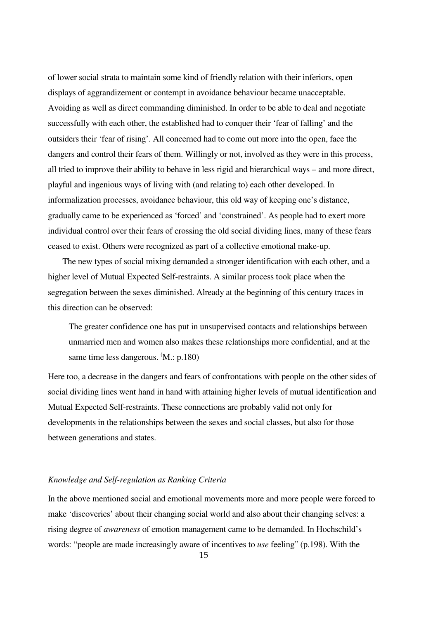of lower social strata to maintain some kind of friendly relation with their inferiors, open displays of aggrandizement or contempt in avoidance behaviour became unacceptable. Avoiding as well as direct commanding diminished. In order to be able to deal and negotiate successfully with each other, the established had to conquer their 'fear of falling' and the outsiders their 'fear of rising'. All concerned had to come out more into the open, face the dangers and control their fears of them. Willingly or not, involved as they were in this process, all tried to improve their ability to behave in less rigid and hierarchical ways – and more direct, playful and ingenious ways of living with (and relating to) each other developed. In informalization processes, avoidance behaviour, this old way of keeping one's distance, gradually came to be experienced as 'forced' and 'constrained'. As people had to exert more individual control over their fears of crossing the old social dividing lines, many of these fears ceased to exist. Others were recognized as part of a collective emotional make-up.

 The new types of social mixing demanded a stronger identification with each other, and a higher level of Mutual Expected Self-restraints. A similar process took place when the segregation between the sexes diminished. Already at the beginning of this century traces in this direction can be observed:

The greater confidence one has put in unsupervised contacts and relationships between unmarried men and women also makes these relationships more confidential, and at the same time less dangerous.  $(M.: p.180)$ 

Here too, a decrease in the dangers and fears of confrontations with people on the other sides of social dividing lines went hand in hand with attaining higher levels of mutual identification and Mutual Expected Self-restraints. These connections are probably valid not only for developments in the relationships between the sexes and social classes, but also for those between generations and states.

## *Knowledge and Self-regulation as Ranking Criteria*

In the above mentioned social and emotional movements more and more people were forced to make 'discoveries' about their changing social world and also about their changing selves: a rising degree of *awareness* of emotion management came to be demanded. In Hochschild's words: "people are made increasingly aware of incentives to *use* feeling" (p.198). With the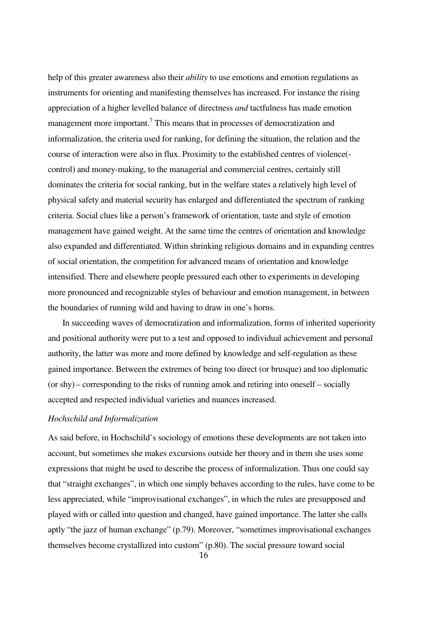help of this greater awareness also their *ability* to use emotions and emotion regulations as instruments for orienting and manifesting themselves has increased. For instance the rising appreciation of a higher levelled balance of directness *and* tactfulness has made emotion management more important.<sup>7</sup> This means that in processes of democratization and informalization, the criteria used for ranking, for defining the situation, the relation and the course of interaction were also in flux. Proximity to the established centres of violence( control) and money-making, to the managerial and commercial centres, certainly still dominates the criteria for social ranking, but in the welfare states a relatively high level of physical safety and material security has enlarged and differentiated the spectrum of ranking criteria. Social clues like a person's framework of orientation, taste and style of emotion management have gained weight. At the same time the centres of orientation and knowledge also expanded and differentiated. Within shrinking religious domains and in expanding centres of social orientation, the competition for advanced means of orientation and knowledge intensified. There and elsewhere people pressured each other to experiments in developing more pronounced and recognizable styles of behaviour and emotion management, in between the boundaries of running wild and having to draw in one's horns.

 In succeeding waves of democratization and informalization, forms of inherited superiority and positional authority were put to a test and opposed to individual achievement and personal authority, the latter was more and more defined by knowledge and self-regulation as these gained importance. Between the extremes of being too direct (or brusque) and too diplomatic (or shy) – corresponding to the risks of running amok and retiring into oneself – socially accepted and respected individual varieties and nuances increased.

## *Hochschild and Informalization*

As said before, in Hochschild's sociology of emotions these developments are not taken into account, but sometimes she makes excursions outside her theory and in them she uses some expressions that might be used to describe the process of informalization. Thus one could say that "straight exchanges", in which one simply behaves according to the rules, have come to be less appreciated, while "improvisational exchanges", in which the rules are presupposed and played with or called into question and changed, have gained importance. The latter she calls aptly "the jazz of human exchange" (p.79). Moreover, "sometimes improvisational exchanges themselves become crystallized into custom" (p.80). The social pressure toward social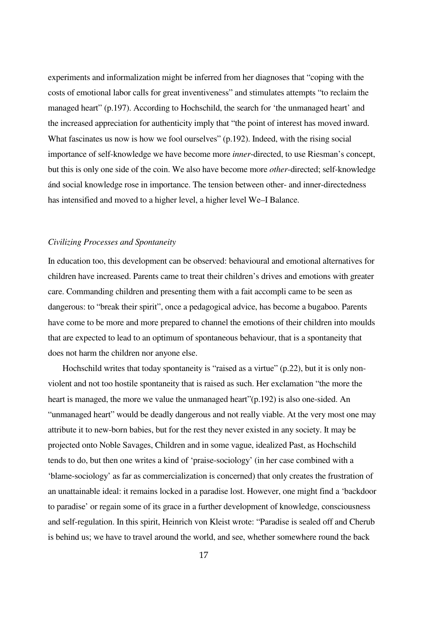experiments and informalization might be inferred from her diagnoses that "coping with the costs of emotional labor calls for great inventiveness" and stimulates attempts "to reclaim the managed heart" (p.197). According to Hochschild, the search for 'the unmanaged heart' and the increased appreciation for authenticity imply that "the point of interest has moved inward. What fascinates us now is how we fool ourselves" (p.192). Indeed, with the rising social importance of self-knowledge we have become more *inner*-directed, to use Riesman's concept, but this is only one side of the coin. We also have become more *other*-directed; self-knowledge ánd social knowledge rose in importance. The tension between other- and inner-directedness has intensified and moved to a higher level, a higher level We–I Balance.

## *Civilizing Processes and Spontaneity*

In education too, this development can be observed: behavioural and emotional alternatives for children have increased. Parents came to treat their children's drives and emotions with greater care. Commanding children and presenting them with a fait accompli came to be seen as dangerous: to "break their spirit", once a pedagogical advice, has become a bugaboo. Parents have come to be more and more prepared to channel the emotions of their children into moulds that are expected to lead to an optimum of spontaneous behaviour, that is a spontaneity that does not harm the children nor anyone else.

Hochschild writes that today spontaneity is "raised as a virtue" (p.22), but it is only nonviolent and not too hostile spontaneity that is raised as such. Her exclamation "the more the heart is managed, the more we value the unmanaged heart"(p.192) is also one-sided. An "unmanaged heart" would be deadly dangerous and not really viable. At the very most one may attribute it to new-born babies, but for the rest they never existed in any society. It may be projected onto Noble Savages, Children and in some vague, idealized Past, as Hochschild tends to do, but then one writes a kind of 'praise-sociology' (in her case combined with a 'blame-sociology' as far as commercialization is concerned) that only creates the frustration of an unattainable ideal: it remains locked in a paradise lost. However, one might find a 'backdoor to paradise' or regain some of its grace in a further development of knowledge, consciousness and self-regulation. In this spirit, Heinrich von Kleist wrote: "Paradise is sealed off and Cherub is behind us; we have to travel around the world, and see, whether somewhere round the back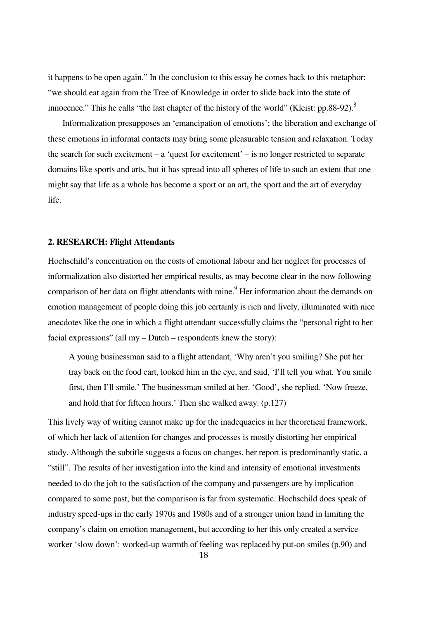it happens to be open again." In the conclusion to this essay he comes back to this metaphor: "we should eat again from the Tree of Knowledge in order to slide back into the state of innocence." This he calls "the last chapter of the history of the world" (Kleist: pp.88-92).<sup>8</sup>

 Informalization presupposes an 'emancipation of emotions'; the liberation and exchange of these emotions in informal contacts may bring some pleasurable tension and relaxation. Today the search for such excitement – a 'quest for excitement' – is no longer restricted to separate domains like sports and arts, but it has spread into all spheres of life to such an extent that one might say that life as a whole has become a sport or an art, the sport and the art of everyday life.

## **2. RESEARCH: Flight Attendants**

Hochschild's concentration on the costs of emotional labour and her neglect for processes of informalization also distorted her empirical results, as may become clear in the now following comparison of her data on flight attendants with mine.<sup>9</sup> Her information about the demands on emotion management of people doing this job certainly is rich and lively, illuminated with nice anecdotes like the one in which a flight attendant successfully claims the "personal right to her facial expressions" (all my – Dutch – respondents knew the story):

A young businessman said to a flight attendant, 'Why aren't you smiling? She put her tray back on the food cart, looked him in the eye, and said, 'I'll tell you what. You smile first, then I'll smile.' The businessman smiled at her. 'Good', she replied. 'Now freeze, and hold that for fifteen hours.' Then she walked away. (p.127)

This lively way of writing cannot make up for the inadequacies in her theoretical framework, of which her lack of attention for changes and processes is mostly distorting her empirical study. Although the subtitle suggests a focus on changes, her report is predominantly static, a "still". The results of her investigation into the kind and intensity of emotional investments needed to do the job to the satisfaction of the company and passengers are by implication compared to some past, but the comparison is far from systematic. Hochschild does speak of industry speed-ups in the early 1970s and 1980s and of a stronger union hand in limiting the company's claim on emotion management, but according to her this only created a service worker 'slow down': worked-up warmth of feeling was replaced by put-on smiles (p.90) and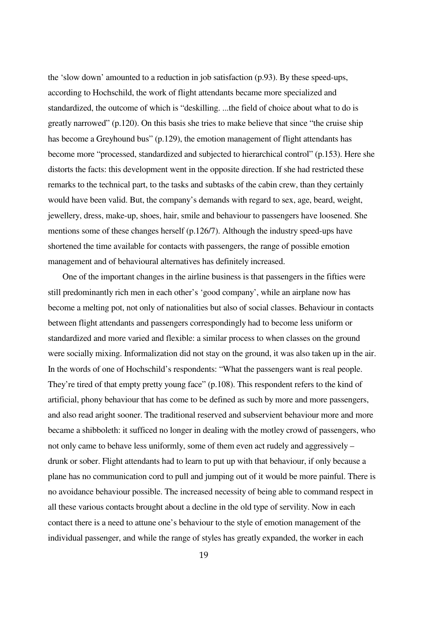the 'slow down' amounted to a reduction in job satisfaction (p.93). By these speed-ups, according to Hochschild, the work of flight attendants became more specialized and standardized, the outcome of which is "deskilling. ...the field of choice about what to do is greatly narrowed" (p.120). On this basis she tries to make believe that since "the cruise ship has become a Greyhound bus" (p.129), the emotion management of flight attendants has become more "processed, standardized and subjected to hierarchical control" (p.153). Here she distorts the facts: this development went in the opposite direction. If she had restricted these remarks to the technical part, to the tasks and subtasks of the cabin crew, than they certainly would have been valid. But, the company's demands with regard to sex, age, beard, weight, jewellery, dress, make-up, shoes, hair, smile and behaviour to passengers have loosened. She mentions some of these changes herself (p.126/7). Although the industry speed-ups have shortened the time available for contacts with passengers, the range of possible emotion management and of behavioural alternatives has definitely increased.

 One of the important changes in the airline business is that passengers in the fifties were still predominantly rich men in each other's 'good company', while an airplane now has become a melting pot, not only of nationalities but also of social classes. Behaviour in contacts between flight attendants and passengers correspondingly had to become less uniform or standardized and more varied and flexible: a similar process to when classes on the ground were socially mixing. Informalization did not stay on the ground, it was also taken up in the air. In the words of one of Hochschild's respondents: "What the passengers want is real people. They're tired of that empty pretty young face" (p.108). This respondent refers to the kind of artificial, phony behaviour that has come to be defined as such by more and more passengers, and also read aright sooner. The traditional reserved and subservient behaviour more and more became a shibboleth: it sufficed no longer in dealing with the motley crowd of passengers, who not only came to behave less uniformly, some of them even act rudely and aggressively – drunk or sober. Flight attendants had to learn to put up with that behaviour, if only because a plane has no communication cord to pull and jumping out of it would be more painful. There is no avoidance behaviour possible. The increased necessity of being able to command respect in all these various contacts brought about a decline in the old type of servility. Now in each contact there is a need to attune one's behaviour to the style of emotion management of the individual passenger, and while the range of styles has greatly expanded, the worker in each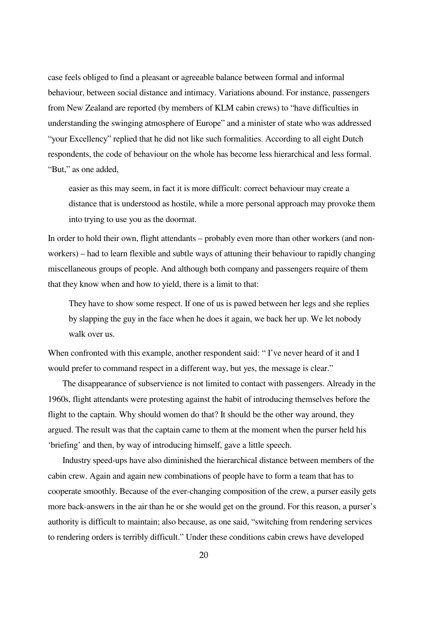case feels obliged to find a pleasant or agreeable balance between formal and informal behaviour, between social distance and intimacy. Variations abound. For instance, passengers from New Zealand are reported (by members of KLM cabin crews) to "have difficulties in understanding the swinging atmosphere of Europe" and a minister of state who was addressed "your Excellency" replied that he did not like such formalities. According to all eight Dutch respondents, the code of behaviour on the whole has become less hierarchical and less formal. "But," as one added,

easier as this may seem, in fact it is more difficult: correct behaviour may create a distance that is understood as hostile, while a more personal approach may provoke them into trying to use you as the doormat.

In order to hold their own, flight attendants – probably even more than other workers (and nonworkers) – had to learn flexible and subtle ways of attuning their behaviour to rapidly changing miscellaneous groups of people. And although both company and passengers require of them that they know when and how to yield, there is a limit to that:

They have to show some respect. If one of us is pawed between her legs and she replies by slapping the guy in the face when he does it again, we back her up. We let nobody walk over us.

When confronted with this example, another respondent said: "I've never heard of it and I would prefer to command respect in a different way, but yes, the message is clear."

 The disappearance of subservience is not limited to contact with passengers. Already in the 1960s, flight attendants were protesting against the habit of introducing themselves before the flight to the captain. Why should women do that? It should be the other way around, they argued. The result was that the captain came to them at the moment when the purser held his 'briefing' and then, by way of introducing himself, gave a little speech.

 Industry speed-ups have also diminished the hierarchical distance between members of the cabin crew. Again and again new combinations of people have to form a team that has to cooperate smoothly. Because of the ever-changing composition of the crew, a purser easily gets more back-answers in the air than he or she would get on the ground. For this reason, a purser's authority is difficult to maintain; also because, as one said, "switching from rendering services to rendering orders is terribly difficult." Under these conditions cabin crews have developed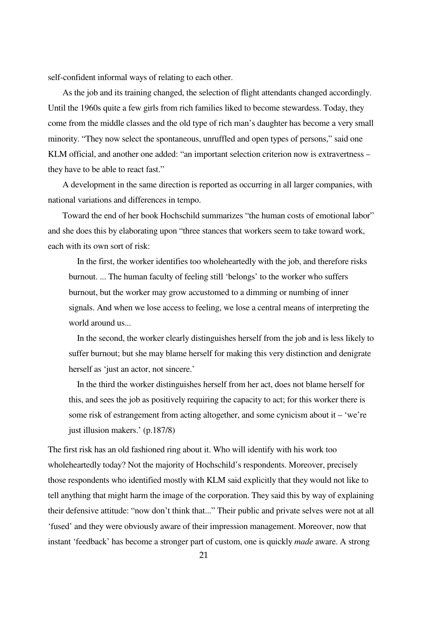self-confident informal ways of relating to each other.

 As the job and its training changed, the selection of flight attendants changed accordingly. Until the 1960s quite a few girls from rich families liked to become stewardess. Today, they come from the middle classes and the old type of rich man's daughter has become a very small minority. "They now select the spontaneous, unruffled and open types of persons," said one KLM official, and another one added: "an important selection criterion now is extravertness – they have to be able to react fast."

 A development in the same direction is reported as occurring in all larger companies, with national variations and differences in tempo.

 Toward the end of her book Hochschild summarizes "the human costs of emotional labor" and she does this by elaborating upon "three stances that workers seem to take toward work, each with its own sort of risk:

 In the first, the worker identifies too wholeheartedly with the job, and therefore risks burnout. ... The human faculty of feeling still 'belongs' to the worker who suffers burnout, but the worker may grow accustomed to a dimming or numbing of inner signals. And when we lose access to feeling, we lose a central means of interpreting the world around us...

 In the second, the worker clearly distinguishes herself from the job and is less likely to suffer burnout; but she may blame herself for making this very distinction and denigrate herself as 'just an actor, not sincere.'

 In the third the worker distinguishes herself from her act, does not blame herself for this, and sees the job as positively requiring the capacity to act; for this worker there is some risk of estrangement from acting altogether, and some cynicism about it – 'we're just illusion makers.' (p.187/8)

The first risk has an old fashioned ring about it. Who will identify with his work too wholeheartedly today? Not the majority of Hochschild's respondents. Moreover, precisely those respondents who identified mostly with KLM said explicitly that they would not like to tell anything that might harm the image of the corporation. They said this by way of explaining their defensive attitude: "now don't think that..." Their public and private selves were not at all 'fused' and they were obviously aware of their impression management. Moreover, now that instant 'feedback' has become a stronger part of custom, one is quickly *made* aware. A strong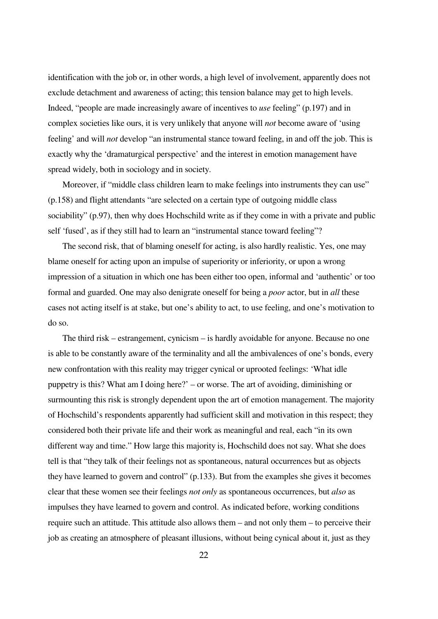identification with the job or, in other words, a high level of involvement, apparently does not exclude detachment and awareness of acting; this tension balance may get to high levels. Indeed, "people are made increasingly aware of incentives to *use* feeling" (p.197) and in complex societies like ours, it is very unlikely that anyone will *not* become aware of 'using feeling' and will *not* develop "an instrumental stance toward feeling, in and off the job. This is exactly why the 'dramaturgical perspective' and the interest in emotion management have spread widely, both in sociology and in society.

Moreover, if "middle class children learn to make feelings into instruments they can use" (p.158) and flight attendants "are selected on a certain type of outgoing middle class sociability" (p.97), then why does Hochschild write as if they come in with a private and public self 'fused', as if they still had to learn an "instrumental stance toward feeling"?

 The second risk, that of blaming oneself for acting, is also hardly realistic. Yes, one may blame oneself for acting upon an impulse of superiority or inferiority, or upon a wrong impression of a situation in which one has been either too open, informal and 'authentic' or too formal and guarded. One may also denigrate oneself for being a *poor* actor, but in *all* these cases not acting itself is at stake, but one's ability to act, to use feeling, and one's motivation to do so.

 The third risk – estrangement, cynicism – is hardly avoidable for anyone. Because no one is able to be constantly aware of the terminality and all the ambivalences of one's bonds, every new confrontation with this reality may trigger cynical or uprooted feelings: 'What idle puppetry is this? What am I doing here?' – or worse. The art of avoiding, diminishing or surmounting this risk is strongly dependent upon the art of emotion management. The majority of Hochschild's respondents apparently had sufficient skill and motivation in this respect; they considered both their private life and their work as meaningful and real, each "in its own different way and time." How large this majority is, Hochschild does not say. What she does tell is that "they talk of their feelings not as spontaneous, natural occurrences but as objects they have learned to govern and control" (p.133). But from the examples she gives it becomes clear that these women see their feelings *not only* as spontaneous occurrences, but *also* as impulses they have learned to govern and control. As indicated before, working conditions require such an attitude. This attitude also allows them – and not only them – to perceive their job as creating an atmosphere of pleasant illusions, without being cynical about it, just as they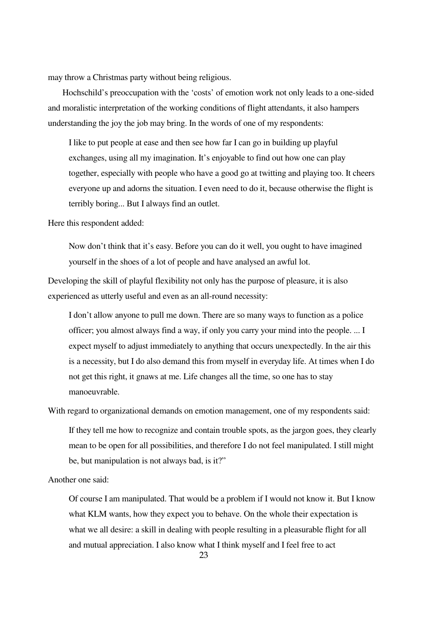may throw a Christmas party without being religious.

 Hochschild's preoccupation with the 'costs' of emotion work not only leads to a one-sided and moralistic interpretation of the working conditions of flight attendants, it also hampers understanding the joy the job may bring. In the words of one of my respondents:

I like to put people at ease and then see how far I can go in building up playful exchanges, using all my imagination. It's enjoyable to find out how one can play together, especially with people who have a good go at twitting and playing too. It cheers everyone up and adorns the situation. I even need to do it, because otherwise the flight is terribly boring... But I always find an outlet.

Here this respondent added:

Now don't think that it's easy. Before you can do it well, you ought to have imagined yourself in the shoes of a lot of people and have analysed an awful lot.

Developing the skill of playful flexibility not only has the purpose of pleasure, it is also experienced as utterly useful and even as an all-round necessity:

I don't allow anyone to pull me down. There are so many ways to function as a police officer; you almost always find a way, if only you carry your mind into the people. ... I expect myself to adjust immediately to anything that occurs unexpectedly. In the air this is a necessity, but I do also demand this from myself in everyday life. At times when I do not get this right, it gnaws at me. Life changes all the time, so one has to stay manoeuvrable.

With regard to organizational demands on emotion management, one of my respondents said:

If they tell me how to recognize and contain trouble spots, as the jargon goes, they clearly mean to be open for all possibilities, and therefore I do not feel manipulated. I still might be, but manipulation is not always bad, is it?"

Another one said:

Of course I am manipulated. That would be a problem if I would not know it. But I know what KLM wants, how they expect you to behave. On the whole their expectation is what we all desire: a skill in dealing with people resulting in a pleasurable flight for all and mutual appreciation. I also know what I think myself and I feel free to act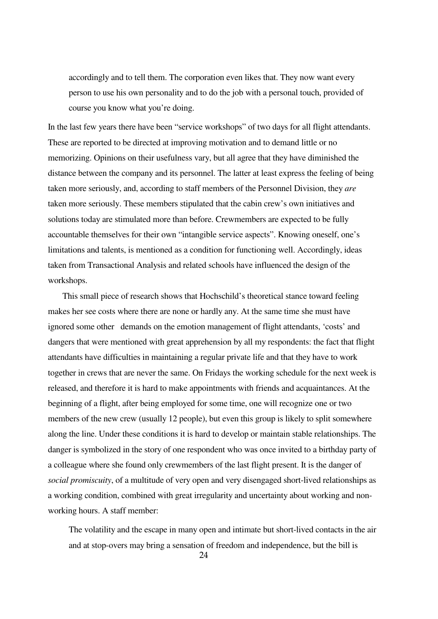accordingly and to tell them. The corporation even likes that. They now want every person to use his own personality and to do the job with a personal touch, provided of course you know what you're doing.

In the last few years there have been "service workshops" of two days for all flight attendants. These are reported to be directed at improving motivation and to demand little or no memorizing. Opinions on their usefulness vary, but all agree that they have diminished the distance between the company and its personnel. The latter at least express the feeling of being taken more seriously, and, according to staff members of the Personnel Division, they *are* taken more seriously. These members stipulated that the cabin crew's own initiatives and solutions today are stimulated more than before. Crewmembers are expected to be fully accountable themselves for their own "intangible service aspects". Knowing oneself, one's limitations and talents, is mentioned as a condition for functioning well. Accordingly, ideas taken from Transactional Analysis and related schools have influenced the design of the workshops.

 This small piece of research shows that Hochschild's theoretical stance toward feeling makes her see costs where there are none or hardly any. At the same time she must have ignored some other demands on the emotion management of flight attendants, 'costs' and dangers that were mentioned with great apprehension by all my respondents: the fact that flight attendants have difficulties in maintaining a regular private life and that they have to work together in crews that are never the same. On Fridays the working schedule for the next week is released, and therefore it is hard to make appointments with friends and acquaintances. At the beginning of a flight, after being employed for some time, one will recognize one or two members of the new crew (usually 12 people), but even this group is likely to split somewhere along the line. Under these conditions it is hard to develop or maintain stable relationships. The danger is symbolized in the story of one respondent who was once invited to a birthday party of a colleague where she found only crewmembers of the last flight present. It is the danger of *social promiscuity*, of a multitude of very open and very disengaged short-lived relationships as a working condition, combined with great irregularity and uncertainty about working and nonworking hours. A staff member:

The volatility and the escape in many open and intimate but short-lived contacts in the air and at stop-overs may bring a sensation of freedom and independence, but the bill is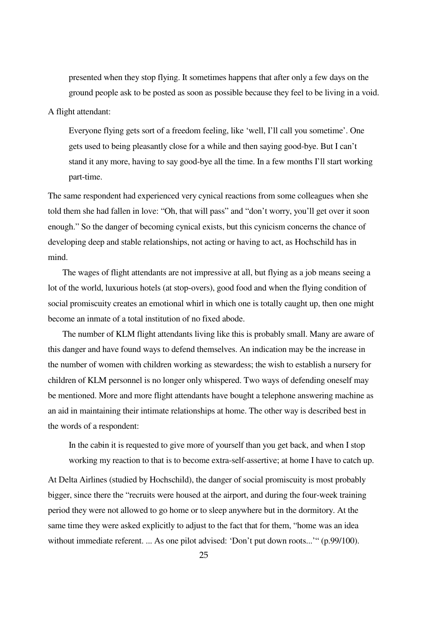presented when they stop flying. It sometimes happens that after only a few days on the ground people ask to be posted as soon as possible because they feel to be living in a void.

## A flight attendant:

Everyone flying gets sort of a freedom feeling, like 'well, I'll call you sometime'. One gets used to being pleasantly close for a while and then saying good-bye. But I can't stand it any more, having to say good-bye all the time. In a few months I'll start working part-time.

The same respondent had experienced very cynical reactions from some colleagues when she told them she had fallen in love: "Oh, that will pass" and "don't worry, you'll get over it soon enough." So the danger of becoming cynical exists, but this cynicism concerns the chance of developing deep and stable relationships, not acting or having to act, as Hochschild has in mind.

 The wages of flight attendants are not impressive at all, but flying as a job means seeing a lot of the world, luxurious hotels (at stop-overs), good food and when the flying condition of social promiscuity creates an emotional whirl in which one is totally caught up, then one might become an inmate of a total institution of no fixed abode.

 The number of KLM flight attendants living like this is probably small. Many are aware of this danger and have found ways to defend themselves. An indication may be the increase in the number of women with children working as stewardess; the wish to establish a nursery for children of KLM personnel is no longer only whispered. Two ways of defending oneself may be mentioned. More and more flight attendants have bought a telephone answering machine as an aid in maintaining their intimate relationships at home. The other way is described best in the words of a respondent:

In the cabin it is requested to give more of yourself than you get back, and when I stop working my reaction to that is to become extra-self-assertive; at home I have to catch up.

At Delta Airlines (studied by Hochschild), the danger of social promiscuity is most probably bigger, since there the "recruits were housed at the airport, and during the four-week training period they were not allowed to go home or to sleep anywhere but in the dormitory. At the same time they were asked explicitly to adjust to the fact that for them, "home was an idea without immediate referent. ... As one pilot advised: 'Don't put down roots...'" (p.99/100).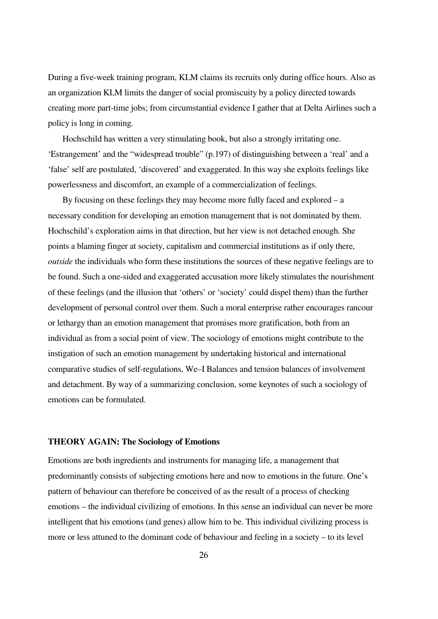During a five-week training program, KLM claims its recruits only during office hours. Also as an organization KLM limits the danger of social promiscuity by a policy directed towards creating more part-time jobs; from circumstantial evidence I gather that at Delta Airlines such a policy is long in coming.

 Hochschild has written a very stimulating book, but also a strongly irritating one. 'Estrangement' and the "widespread trouble" (p.197) of distinguishing between a 'real' and a 'false' self are postulated, 'discovered' and exaggerated. In this way she exploits feelings like powerlessness and discomfort, an example of a commercialization of feelings.

 By focusing on these feelings they may become more fully faced and explored – a necessary condition for developing an emotion management that is not dominated by them. Hochschild's exploration aims in that direction, but her view is not detached enough. She points a blaming finger at society, capitalism and commercial institutions as if only there, *outside* the individuals who form these institutions the sources of these negative feelings are to be found. Such a one-sided and exaggerated accusation more likely stimulates the nourishment of these feelings (and the illusion that 'others' or 'society' could dispel them) than the further development of personal control over them. Such a moral enterprise rather encourages rancour or lethargy than an emotion management that promises more gratification, both from an individual as from a social point of view. The sociology of emotions might contribute to the instigation of such an emotion management by undertaking historical and international comparative studies of self-regulations, We–I Balances and tension balances of involvement and detachment. By way of a summarizing conclusion, some keynotes of such a sociology of emotions can be formulated.

## **THEORY AGAIN: The Sociology of Emotions**

Emotions are both ingredients and instruments for managing life, a management that predominantly consists of subjecting emotions here and now to emotions in the future. One's pattern of behaviour can therefore be conceived of as the result of a process of checking emotions – the individual civilizing of emotions. In this sense an individual can never be more intelligent that his emotions (and genes) allow him to be. This individual civilizing process is more or less attuned to the dominant code of behaviour and feeling in a society – to its level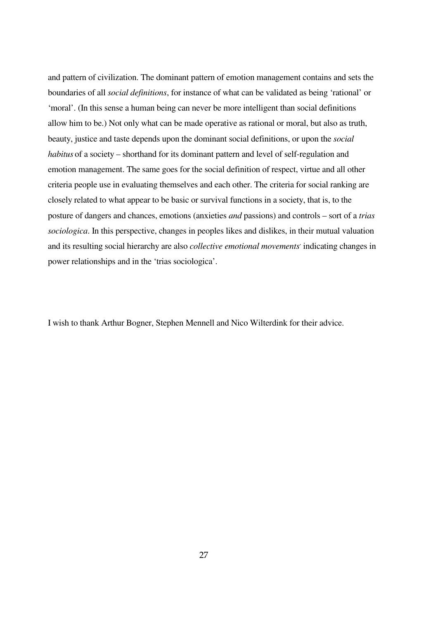and pattern of civilization. The dominant pattern of emotion management contains and sets the boundaries of all *social definitions*, for instance of what can be validated as being 'rational' or 'moral'. (In this sense a human being can never be more intelligent than social definitions allow him to be.) Not only what can be made operative as rational or moral, but also as truth, beauty, justice and taste depends upon the dominant social definitions, or upon the *social habitus* of a society – shorthand for its dominant pattern and level of self-regulation and emotion management. The same goes for the social definition of respect, virtue and all other criteria people use in evaluating themselves and each other. The criteria for social ranking are closely related to what appear to be basic or survival functions in a society, that is, to the posture of dangers and chances, emotions (anxieties *and* passions) and controls – sort of a *trias sociologica*. In this perspective, changes in peoples likes and dislikes, in their mutual valuation and its resulting social hierarchy are also *collective emotional movements*' indicating changes in power relationships and in the 'trias sociologica'.

I wish to thank Arthur Bogner, Stephen Mennell and Nico Wilterdink for their advice.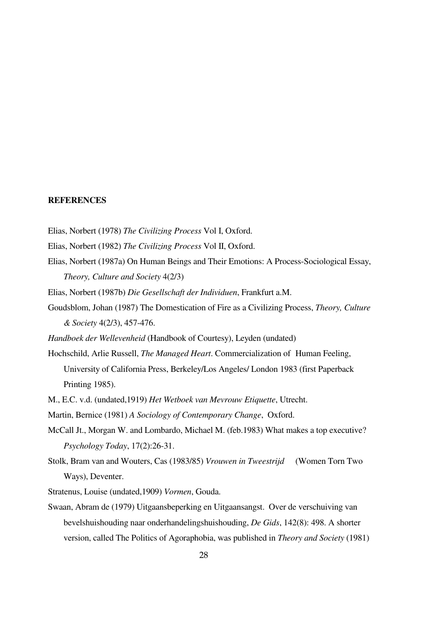#### **REFERENCES**

- Elias, Norbert (1978) *The Civilizing Process* Vol I, Oxford.
- Elias, Norbert (1982) *The Civilizing Process* Vol II, Oxford.
- Elias, Norbert (1987a) On Human Beings and Their Emotions: A Process-Sociological Essay, *Theory, Culture and Society* 4(2/3)
- Elias, Norbert (1987b) *Die Gesellschaft der Individuen*, Frankfurt a.M.
- Goudsblom, Johan (1987) The Domestication of Fire as a Civilizing Process, *Theory, Culture & Society* 4(2/3), 457-476.
- *Handboek der Wellevenheid* (Handbook of Courtesy), Leyden (undated)
- Hochschild, Arlie Russell, *The Managed Heart*. Commercialization of Human Feeling, University of California Press, Berkeley/Los Angeles/ London 1983 (first Paperback Printing 1985).
- M., E.C. v.d. (undated,1919) *Het Wetboek van Mevrouw Etiquette*, Utrecht.
- Martin, Bernice (1981) *A Sociology of Contemporary Change*, Oxford.
- McCall Jt., Morgan W. and Lombardo, Michael M. (feb.1983) What makes a top executive? *Psychology Today*, 17(2):26-31.
- Stolk, Bram van and Wouters, Cas (1983/85) *Vrouwen in Tweestrijd* (Women Torn Two Ways), Deventer.
- Stratenus, Louise (undated,1909) *Vormen*, Gouda.
- Swaan, Abram de (1979) Uitgaansbeperking en Uitgaansangst. Over de verschuiving van bevelshuishouding naar onderhandelingshuishouding, *De Gids*, 142(8): 498. A shorter version, called The Politics of Agoraphobia, was published in *Theory and Society* (1981)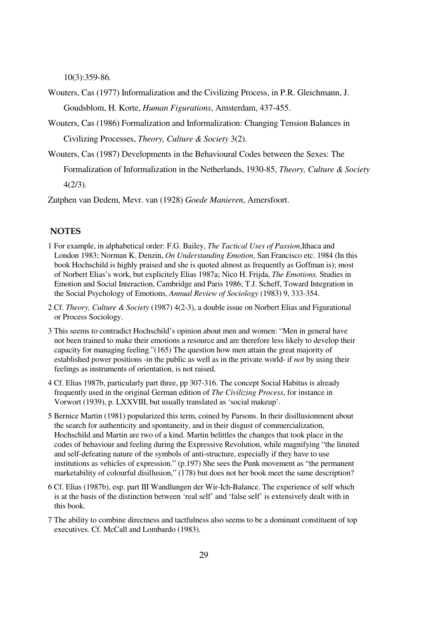10(3):359-86.

Wouters, Cas (1977) Informalization and the Civilizing Process, in P.R. Gleichmann, J. Goudsblom, H. Korte, *Human Figurations*, Amsterdam, 437-455.

Wouters, Cas (1986) Formalization and Informalization: Changing Tension Balances in Civilizing Processes, *Theory, Culture & Society* 3(2).

Wouters, Cas (1987) Developments in the Behavioural Codes between the Sexes: The

Formalization of Informalization in the Netherlands, 1930-85, *Theory, Culture & Society* 4(2/3).

Zutphen van Dedem, Mevr. van (1928) *Goede Manieren*, Amersfoort.

## **NOTES**

- 1 For example, in alphabetical order: F.G. Bailey, *The Tactical Uses of Passion*,Ithaca and London 1983; Norman K. Denzin, *On Understanding Emotion*, San Francisco etc. 1984 (In this book Hochschild is highly praised and she is quoted almost as frequently as Goffman is); most of Norbert Elias's work, but explicitely Elias 1987a; Nico H. Frijda, *The Emotions.* Studies in Emotion and Social Interaction, Cambridge and Paris 1986; T.J. Scheff, Toward Integration in the Social Psychology of Emotions, *Annual Review of Sociology* (1983) 9, 333-354.
- 2 Cf. *Theory, Culture & Society* (1987) 4(2-3), a double issue on Norbert Elias and Figurational or Process Sociology.
- 3 This seems to contradict Hochschild's opinion about men and women: "Men in general have not been trained to make their emotions a resource and are therefore less likely to develop their capacity for managing feeling."(165) The question how men attain the great majority of established power positions -in the public as well as in the private world- if *not* by using their feelings as instruments of orientation, is not raised.
- 4 Cf. Elias 1987b, particularly part three, pp 307-316. The concept Social Habitus is already frequently used in the original German edition of *The Civilizing Process*, for instance in Vorwort (1939), p. LXXVIII, but usually translated as 'social makeup'.
- 5 Bernice Martin (1981) popularized this term, coined by Parsons. In their disillusionment about the search for authenticity and spontaneity, and in their disgust of commercialization, Hochschild and Martin are two of a kind. Martin belittles the changes that took place in the codes of behaviour and feeling during the Expressive Revolution, while magnifying "the limited and self-defeating nature of the symbols of anti-structure, especially if they have to use institutions as vehicles of expression." (p.197) She sees the Punk movement as "the permanent marketability of colourful disillusion," (178) but does not her book meet the same description?
- 6 Cf. Elias (1987b), esp. part III Wandlungen der Wir-Ich-Balance. The experience of self which is at the basis of the distinction between 'real self' and 'false self' is extensively dealt with in this book.
- 7 The ability to combine directness and tactfulness also seems to be a dominant constituent of top executives. Cf. McCall and Lombardo (1983).